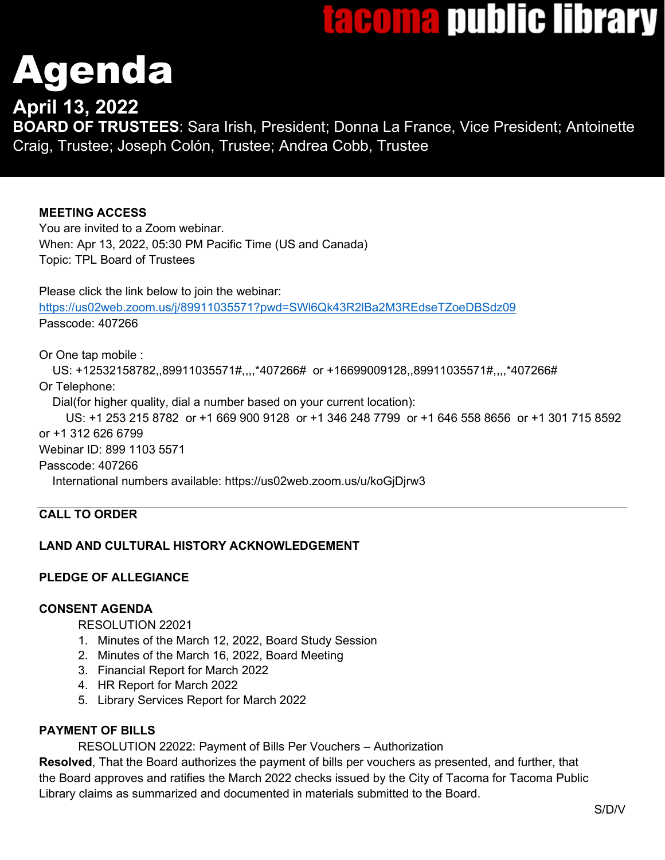# tacoma public library

# genda

# **April 13, 2022**

**BOARD OF TRUSTEES**: Sara Irish, President; Donna La France, Vice President; Antoinette Craig, Trustee; Joseph Colón, Trustee; Andrea Cobb, Trustee

# **MEETING ACCESS**

You are invited to a Zoom webinar. When: Apr 13, 2022, 05:30 PM Pacific Time (US and Canada) Topic: TPL Board of Trustees

Please click the link below to join the webinar: <https://us02web.zoom.us/j/89911035571?pwd=SWl6Qk43R2lBa2M3REdseTZoeDBSdz09> Passcode: 407266

Or One tap mobile :

 US: +12532158782,,89911035571#,,,,\*407266# or +16699009128,,89911035571#,,,,\*407266# Or Telephone:

Dial(for higher quality, dial a number based on your current location):

 US: +1 253 215 8782 or +1 669 900 9128 or +1 346 248 7799 or +1 646 558 8656 or +1 301 715 8592 or +1 312 626 6799 Webinar ID: 899 1103 5571 Passcode: 407266

International numbers available: https://us02web.zoom.us/u/koGjDjrw3

# **CALL TO ORDER**

# **LAND AND CULTURAL HISTORY ACKNOWLEDGEMENT**

# **PLEDGE OF ALLEGIANCE**

# **CONSENT AGENDA**

RESOLUTION 22021

- 1. Minutes of the March 12, 2022, Board Study Session
- 2. Minutes of the March 16, 2022, Board Meeting
- 3. Financial Report for March 2022
- 4. HR Report for March 2022
- 5. Library Services Report for March 2022

# **PAYMENT OF BILLS**

RESOLUTION 22022: Payment of Bills Per Vouchers – Authorization

**Resolved**, That the Board authorizes the payment of bills per vouchers as presented, and further, that the Board approves and ratifies the March 2022 checks issued by the City of Tacoma for Tacoma Public Library claims as summarized and documented in materials submitted to the Board.